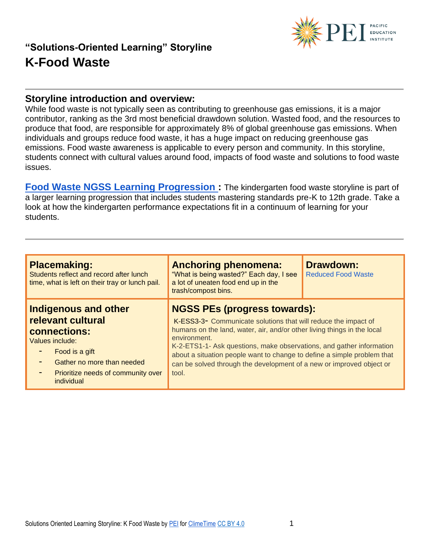

#### **Storyline introduction and overview:**

While food waste is not typically seen as contributing to greenhouse gas emissions, it is a major contributor, ranking as the 3rd most beneficial drawdown solution. Wasted food, and the resources to produce that food, are responsible for approximately 8% of global greenhouse gas emissions. When individuals and groups reduce food waste, it has a huge impact on reducing greenhouse gas emissions. Food waste awareness is applicable to every person and community. In this storyline, students connect with cultural values around food, impacts of food waste and solutions to food waste issues.

**[Food Waste NGSS Learning Progression :](https://pacificeductioninstitute.sharepoint.com/:x:/s/Program/EVbT_LcvK9ZLv6JltsAvbpEBHaNLj_wMBpQe7UriIBFBNg?e=Ixd6qQ)** The kindergarten food waste storyline is part of a larger learning progression that includes students mastering standards pre-K to 12th grade. Take a look at how the kindergarten performance expectations fit in a continuum of learning for your students.

| <b>Placemaking:</b><br>Students reflect and record after lunch<br>time, what is left on their tray or lunch pail.                                                                            | <b>Anchoring phenomena:</b><br>"What is being wasted?" Each day, I see<br>a lot of uneaten food end up in the<br>trash/compost bins.                                                                                                                                                                                                                                                                                                 | <b>Drawdown:</b><br><b>Reduced Food Waste</b> |
|----------------------------------------------------------------------------------------------------------------------------------------------------------------------------------------------|--------------------------------------------------------------------------------------------------------------------------------------------------------------------------------------------------------------------------------------------------------------------------------------------------------------------------------------------------------------------------------------------------------------------------------------|-----------------------------------------------|
| <b>Indigenous and other</b><br>relevant cultural<br>connections:<br>Values include:<br>Food is a gift<br>Gather no more than needed<br>Prioritize needs of community over<br>٠<br>individual | <b>NGSS PEs (progress towards):</b><br>K-ESS3-3- Communicate solutions that will reduce the impact of<br>humans on the land, water, air, and/or other living things in the local<br>environment.<br>K-2-ETS1-1- Ask questions, make observations, and gather information<br>about a situation people want to change to define a simple problem that<br>can be solved through the development of a new or improved object or<br>tool. |                                               |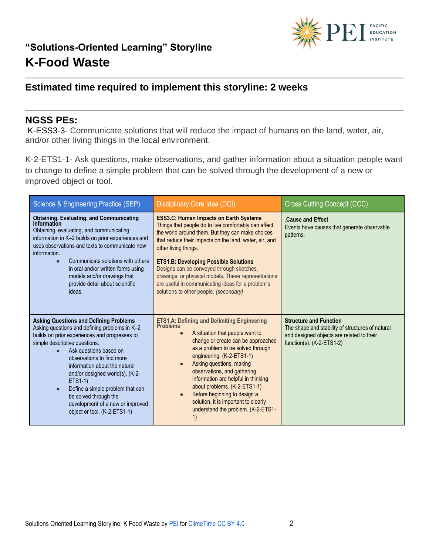

## **Estimated time required to implement this storyline: 2 weeks**

#### **NGSS PEs:**

K-ESS3-3- Communicate solutions that will reduce the impact of humans on the land, water, air, and/or other living things in the local environment.

K-2-ETS1-1- Ask questions, make observations, and gather information about a situation people want to change to define a simple problem that can be solved through the development of a new or improved object or tool.

| Science & Engineering Practice (SEP)                                                                                                                                                                                                                                                                                                                                                                                                                                        | Disciplinary Core Idea (DCI)                                                                                                                                                                                                                                                                                                                                                                                                                                                                                  | <b>Cross Cutting Concept (CCC)</b>                                                                                                                            |
|-----------------------------------------------------------------------------------------------------------------------------------------------------------------------------------------------------------------------------------------------------------------------------------------------------------------------------------------------------------------------------------------------------------------------------------------------------------------------------|---------------------------------------------------------------------------------------------------------------------------------------------------------------------------------------------------------------------------------------------------------------------------------------------------------------------------------------------------------------------------------------------------------------------------------------------------------------------------------------------------------------|---------------------------------------------------------------------------------------------------------------------------------------------------------------|
| <b>Obtaining, Evaluating, and Communicating</b><br>Information<br>Obtaining, evaluating, and communicating<br>information in K-2 builds on prior experiences and<br>uses observations and texts to communicate new<br>information.<br>Communicate solutions with others<br>in oral and/or written forms using<br>models and/or drawings that<br>provide detail about scientific<br>ideas.                                                                                   | <b>ESS3.C: Human Impacts on Earth Systems</b><br>Things that people do to live comfortably can affect<br>the world around them. But they can make choices<br>that reduce their impacts on the land, water, air, and<br>other living things.<br><b>ETS1.B: Developing Possible Solutions</b><br>Designs can be conveyed through sketches,<br>drawings, or physical models. These representations<br>are useful in communicating ideas for a problem's<br>solutions to other people. (secondary)                | Cause and Effect<br>Events have causes that generate observable<br>patterns.                                                                                  |
| <b>Asking Questions and Defining Problems</b><br>Asking questions and defining problems in K-2<br>builds on prior experiences and progresses to<br>simple descriptive questions.<br>Ask questions based on<br>observations to find more<br>information about the natural<br>and/or designed world(s). (K-2-<br><b>ETS1-1)</b><br>Define a simple problem that can<br>$\bullet$<br>be solved through the<br>development of a new or improved<br>object or tool. (K-2-ETS1-1) | <b>ETS1.A: Defining and Delimiting Engineering</b><br><b>Problems</b><br>A situation that people want to<br>$\bullet$<br>change or create can be approached<br>as a problem to be solved through<br>engineering. (K-2-ETS1-1)<br>Asking questions, making<br>$\bullet$<br>observations, and gathering<br>information are helpful in thinking<br>about problems. (K-2-ETS1-1)<br>Before beginning to design a<br>$\bullet$<br>solution, it is important to clearly<br>understand the problem. (K-2-ETS1-<br>1) | <b>Structure and Function</b><br>The shape and stability of structures of natural<br>and designed objects are related to their<br>function(s). $(K-2-ETS1-2)$ |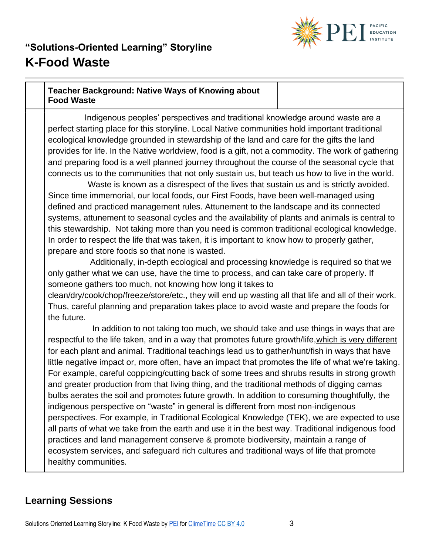

#### **Teacher Background: Native Ways of Knowing about Food Waste**

 Indigenous peoples' perspectives and traditional knowledge around waste are a perfect starting place for this storyline. Local Native communities hold important traditional ecological knowledge grounded in stewardship of the land and care for the gifts the land provides for life. In the Native worldview, food is a gift, not a commodity. The work of gathering and preparing food is a well planned journey throughout the course of the seasonal cycle that connects us to the communities that not only sustain us, but teach us how to live in the world.

 Waste is known as a disrespect of the lives that sustain us and is strictly avoided. Since time immemorial, our local foods, our First Foods, have been well-managed using defined and practiced management rules. Attunement to the landscape and its connected systems, attunement to seasonal cycles and the availability of plants and animals is central to this stewardship. Not taking more than you need is common traditional ecological knowledge. In order to respect the life that was taken, it is important to know how to properly gather, prepare and store foods so that none is wasted.

 Additionally, in-depth ecological and processing knowledge is required so that we only gather what we can use, have the time to process, and can take care of properly. If someone gathers too much, not knowing how long it takes to

clean/dry/cook/chop/freeze/store/etc., they will end up wasting all that life and all of their work. Thus, careful planning and preparation takes place to avoid waste and prepare the foods for the future.

 In addition to not taking too much, we should take and use things in ways that are respectful to the life taken, and in a way that promotes future growth/life,which is very different for each plant and animal. Traditional teachings lead us to gather/hunt/fish in ways that have little negative impact or, more often, have an impact that promotes the life of what we're taking. For example, careful coppicing/cutting back of some trees and shrubs results in strong growth and greater production from that living thing, and the traditional methods of digging camas bulbs aerates the soil and promotes future growth. In addition to consuming thoughtfully, the indigenous perspective on "waste" in general is different from most non-indigenous perspectives. For example, in Traditional Ecological Knowledge (TEK), we are expected to use all parts of what we take from the earth and use it in the best way. Traditional indigenous food practices and land management conserve & promote biodiversity, maintain a range of ecosystem services, and safeguard rich cultures and traditional ways of life that promote healthy communities.

### **Learning Sessions**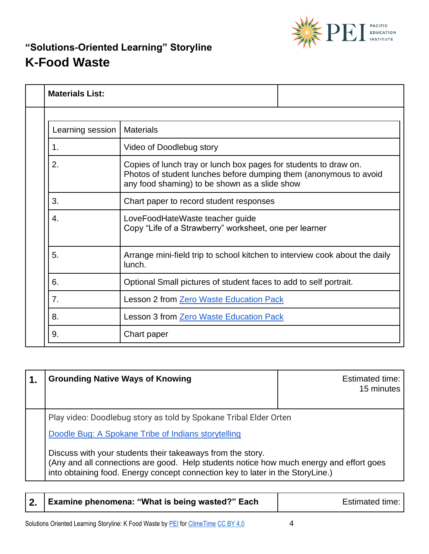

| <b>Materials List:</b> |                                                                                                                                                                                        |
|------------------------|----------------------------------------------------------------------------------------------------------------------------------------------------------------------------------------|
|                        |                                                                                                                                                                                        |
| Learning session       | <b>Materials</b>                                                                                                                                                                       |
| 1.                     | Video of Doodlebug story                                                                                                                                                               |
| 2.                     | Copies of lunch tray or lunch box pages for students to draw on.<br>Photos of student lunches before dumping them (anonymous to avoid<br>any food shaming) to be shown as a slide show |
| 3.                     | Chart paper to record student responses                                                                                                                                                |
| 4.                     | LoveFoodHateWaste teacher guide<br>Copy "Life of a Strawberry" worksheet, one per learner                                                                                              |
| 5.                     | Arrange mini-field trip to school kitchen to interview cook about the daily<br>lunch.                                                                                                  |
| 6.                     | Optional Small pictures of student faces to add to self portrait.                                                                                                                      |
| 7.                     | <b>Lesson 2 from Zero Waste Education Pack</b>                                                                                                                                         |
| 8.                     | Lesson 3 from Zero Waste Education Pack                                                                                                                                                |
| 9.                     | Chart paper                                                                                                                                                                            |

| 1. | <b>Grounding Native Ways of Knowing</b>                                                                                                                                                                                                 | <b>Estimated time:</b><br>15 minutes |
|----|-----------------------------------------------------------------------------------------------------------------------------------------------------------------------------------------------------------------------------------------|--------------------------------------|
|    | Play video: Doodlebug story as told by Spokane Tribal Elder Orten                                                                                                                                                                       |                                      |
|    | Doodle Bug: A Spokane Tribe of Indians storytelling                                                                                                                                                                                     |                                      |
|    | Discuss with your students their takeaways from the story.<br>(Any and all connections are good. Help students notice how much energy and effort goes<br>into obtaining food. Energy concept connection key to later in the StoryLine.) |                                      |

|  | 2. Examine phenomena: "What is being wasted?" Each | Estimated time: |
|--|----------------------------------------------------|-----------------|
|--|----------------------------------------------------|-----------------|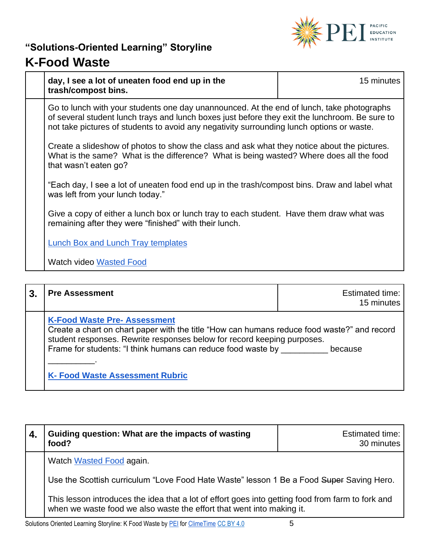

| I VVU IIUJLV                                                                                                                                                                                                                                                                             |            |
|------------------------------------------------------------------------------------------------------------------------------------------------------------------------------------------------------------------------------------------------------------------------------------------|------------|
| day, I see a lot of uneaten food end up in the<br>trash/compost bins.                                                                                                                                                                                                                    | 15 minutes |
| Go to lunch with your students one day unannounced. At the end of lunch, take photographs<br>of several student lunch trays and lunch boxes just before they exit the lunchroom. Be sure to<br>not take pictures of students to avoid any negativity surrounding lunch options or waste. |            |
| Create a slideshow of photos to show the class and ask what they notice about the pictures.<br>What is the same? What is the difference? What is being wasted? Where does all the food<br>that wasn't eaten go?                                                                          |            |
| "Each day, I see a lot of uneaten food end up in the trash/compost bins. Draw and label what<br>was left from your lunch today."                                                                                                                                                         |            |
| Give a copy of either a lunch box or lunch tray to each student. Have them draw what was<br>remaining after they were "finished" with their lunch.                                                                                                                                       |            |
| Lunch Box and Lunch Tray templates                                                                                                                                                                                                                                                       |            |
| <b>Watch video Wasted Food</b>                                                                                                                                                                                                                                                           |            |
|                                                                                                                                                                                                                                                                                          |            |

| $\mathbf{3}$ | <b>Pre Assessment</b>                                                                                                                                                                                                                                                                                                                   | Estimated time:<br>15 minutes |
|--------------|-----------------------------------------------------------------------------------------------------------------------------------------------------------------------------------------------------------------------------------------------------------------------------------------------------------------------------------------|-------------------------------|
|              | <b>K-Food Waste Pre- Assessment</b><br>Create a chart on chart paper with the title "How can humans reduce food waste?" and record<br>student responses. Rewrite responses below for record keeping purposes.<br>Frame for students: "I think humans can reduce food waste by _______ because<br><b>K- Food Waste Assessment Rubric</b> |                               |

| 4. | Guiding question: What are the impacts of wasting<br>food?                                                                                                                 | <b>Estimated time:</b><br>30 minutes |
|----|----------------------------------------------------------------------------------------------------------------------------------------------------------------------------|--------------------------------------|
|    | Watch Wasted Food again.                                                                                                                                                   |                                      |
|    | Use the Scottish curriculum "Love Food Hate Waste" lesson 1 Be a Food Super Saving Hero.                                                                                   |                                      |
|    | This lesson introduces the idea that a lot of effort goes into getting food from farm to fork and<br>when we waste food we also waste the effort that went into making it. |                                      |
| .  |                                                                                                                                                                            |                                      |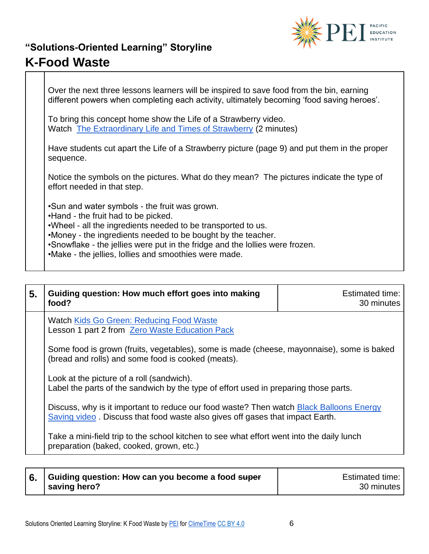

Over the next three lessons learners will be inspired to save food from the bin, earning different powers when completing each activity, ultimately becoming 'food saving heroes'. To bring this concept home show the Life of a Strawberry video. Watch [The Extraordinary Life and Times of Strawberry](https://vimeo.com/175920034) (2 minutes) Have students cut apart the Life of a Strawberry picture (page 9) and put them in the proper sequence. Notice the symbols on the pictures. What do they mean? The pictures indicate the type of effort needed in that step. •Sun and water symbols - the fruit was grown. •Hand - the fruit had to be picked. •Wheel - all the ingredients needed to be transported to us. •Money - the ingredients needed to be bought by the teacher. •Snowflake - the jellies were put in the fridge and the lollies were frozen. •Make - the jellies, lollies and smoothies were made.

| 5. | Guiding question: How much effort goes into making<br>food?                                                                                                              | <b>Estimated time:</b><br>30 minutes |
|----|--------------------------------------------------------------------------------------------------------------------------------------------------------------------------|--------------------------------------|
|    | Watch Kids Go Green: Reducing Food Waste<br>Lesson 1 part 2 from Zero Waste Education Pack                                                                               |                                      |
|    | Some food is grown (fruits, vegetables), some is made (cheese, mayonnaise), some is baked<br>(bread and rolls) and some food is cooked (meats).                          |                                      |
|    | Look at the picture of a roll (sandwich).<br>Label the parts of the sandwich by the type of effort used in preparing those parts.                                        |                                      |
|    | Discuss, why is it important to reduce our food waste? Then watch Black Balloons Energy<br>Saving video. Discuss that food waste also gives off gases that impact Earth. |                                      |
|    | Take a mini-field trip to the school kitchen to see what effort went into the daily lunch<br>preparation (baked, cooked, grown, etc.)                                    |                                      |

| Guiding question: How can you become a food super | Estimated time: |
|---------------------------------------------------|-----------------|
| saving hero?                                      | 30 minutes      |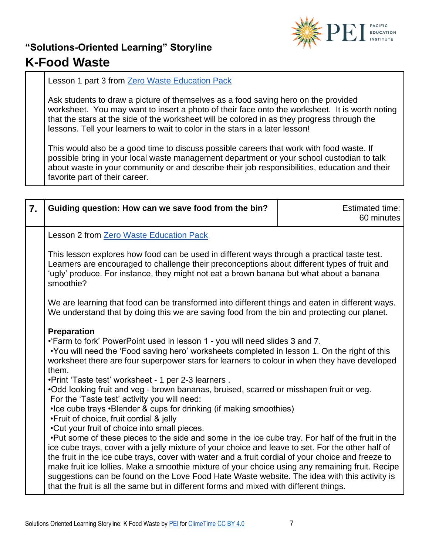

Lesson 1 part 3 from [Zero Waste Education Pack](https://www.zerowastescotland.org.uk/sites/default/files/ZWS1054%20LFHW%20Primary%20Pack%201-3.pdf)

Ask students to draw a picture of themselves as a food saving hero on the provided worksheet. You may want to insert a photo of their face onto the worksheet. It is worth noting that the stars at the side of the worksheet will be colored in as they progress through the lessons. Tell your learners to wait to color in the stars in a later lesson!

This would also be a good time to discuss possible careers that work with food waste. If possible bring in your local waste management department or your school custodian to talk about waste in your community or and describe their job responsibilities, education and their favorite part of their career.

| 7. | Guiding question: How can we save food from the bin?                                                                                                                                                                                                                                                                                                                                                                                                                                                                                                                                                                                                                                                                                                                                                                                                                                                                                                                                                                                                                                                                                                                                                                                                                                                                                                                                                                                                                                                                                                                                                                                                                                                                                                            | <b>Estimated time:</b><br>60 minutes |
|----|-----------------------------------------------------------------------------------------------------------------------------------------------------------------------------------------------------------------------------------------------------------------------------------------------------------------------------------------------------------------------------------------------------------------------------------------------------------------------------------------------------------------------------------------------------------------------------------------------------------------------------------------------------------------------------------------------------------------------------------------------------------------------------------------------------------------------------------------------------------------------------------------------------------------------------------------------------------------------------------------------------------------------------------------------------------------------------------------------------------------------------------------------------------------------------------------------------------------------------------------------------------------------------------------------------------------------------------------------------------------------------------------------------------------------------------------------------------------------------------------------------------------------------------------------------------------------------------------------------------------------------------------------------------------------------------------------------------------------------------------------------------------|--------------------------------------|
|    | <b>Lesson 2 from Zero Waste Education Pack</b><br>This lesson explores how food can be used in different ways through a practical taste test.<br>Learners are encouraged to challenge their preconceptions about different types of fruit and<br>'ugly' produce. For instance, they might not eat a brown banana but what about a banana<br>smoothie?<br>We are learning that food can be transformed into different things and eaten in different ways.<br>We understand that by doing this we are saving food from the bin and protecting our planet.<br><b>Preparation</b><br>•'Farm to fork' PowerPoint used in lesson 1 - you will need slides 3 and 7.<br>•You will need the 'Food saving hero' worksheets completed in lesson 1. On the right of this<br>worksheet there are four superpower stars for learners to colour in when they have developed<br>them.<br>• Print 'Taste test' worksheet - 1 per 2-3 learners.<br>.Odd looking fruit and veg - brown bananas, bruised, scarred or misshapen fruit or veg.<br>For the 'Taste test' activity you will need:<br>•Ice cube trays •Blender & cups for drinking (if making smoothies)<br>.Fruit of choice, fruit cordial & jelly<br>. Cut your fruit of choice into small pieces.<br>. Put some of these pieces to the side and some in the ice cube tray. For half of the fruit in the<br>ice cube trays, cover with a jelly mixture of your choice and leave to set. For the other half of<br>the fruit in the ice cube trays, cover with water and a fruit cordial of your choice and freeze to<br>make fruit ice lollies. Make a smoothie mixture of your choice using any remaining fruit. Recipe<br>suggestions can be found on the Love Food Hate Waste website. The idea with this activity is |                                      |
|    | that the fruit is all the same but in different forms and mixed with different things.                                                                                                                                                                                                                                                                                                                                                                                                                                                                                                                                                                                                                                                                                                                                                                                                                                                                                                                                                                                                                                                                                                                                                                                                                                                                                                                                                                                                                                                                                                                                                                                                                                                                          |                                      |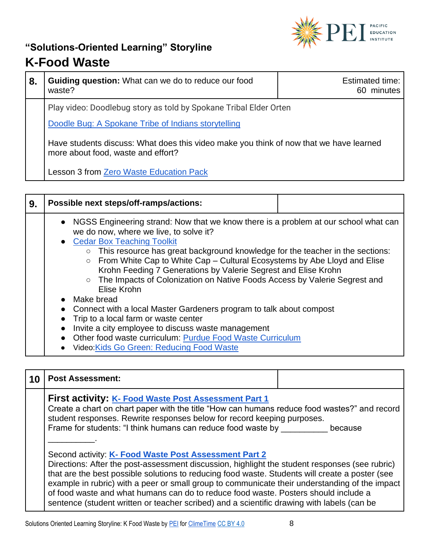

| 8. | Guiding question: What can we do to reduce our food<br>waste?                                                                | Estimated time:<br>minutes<br>60. |
|----|------------------------------------------------------------------------------------------------------------------------------|-----------------------------------|
|    | Play video: Doodlebug story as told by Spokane Tribal Elder Orten                                                            |                                   |
|    | Doodle Bug: A Spokane Tribe of Indians storytelling                                                                          |                                   |
|    | Have students discuss: What does this video make you think of now that we have learned<br>more about food, waste and effort? |                                   |
|    | Lesson 3 from Zero Waste Education Pack                                                                                      |                                   |

| 9. | Possible next steps/off-ramps/actions:                                                                                                                                                                                                                                                                                                                                                                                                                                                                                             |  |
|----|------------------------------------------------------------------------------------------------------------------------------------------------------------------------------------------------------------------------------------------------------------------------------------------------------------------------------------------------------------------------------------------------------------------------------------------------------------------------------------------------------------------------------------|--|
|    | • NGSS Engineering strand: Now that we know there is a problem at our school what can<br>we do now, where we live, to solve it?<br><b>Cedar Box Teaching Toolkit</b><br>$\circ$ This resource has great background knowledge for the teacher in the sections:<br>From White Cap to White Cap – Cultural Ecosystems by Abe Lloyd and Elise<br>$\circ$<br>Krohn Feeding 7 Generations by Valerie Segrest and Elise Krohn<br>○ The Impacts of Colonization on Native Foods Access by Valerie Segrest and<br>Elise Krohn<br>Make bread |  |
|    | Connect with a local Master Gardeners program to talk about compost<br>Trip to a local farm or waste center                                                                                                                                                                                                                                                                                                                                                                                                                        |  |
|    | Invite a city employee to discuss waste management                                                                                                                                                                                                                                                                                                                                                                                                                                                                                 |  |
|    | Other food waste curriculum: Purdue Food Waste Curriculum                                                                                                                                                                                                                                                                                                                                                                                                                                                                          |  |
|    | • Video: Kids Go Green: Reducing Food Waste                                                                                                                                                                                                                                                                                                                                                                                                                                                                                        |  |

| 10 | <b>Post Assessment:</b>                                                                                                                                                                                                                                                                                                                                                                                                                                                                                                                           |  |  |
|----|---------------------------------------------------------------------------------------------------------------------------------------------------------------------------------------------------------------------------------------------------------------------------------------------------------------------------------------------------------------------------------------------------------------------------------------------------------------------------------------------------------------------------------------------------|--|--|
|    | <b>First activity: K- Food Waste Post Assessment Part 1</b><br>Create a chart on chart paper with the title "How can humans reduce food wastes?" and record<br>student responses. Rewrite responses below for record keeping purposes.<br>Frame for students: "I think humans can reduce food waste by<br>because                                                                                                                                                                                                                                 |  |  |
|    | Second activity: K- Food Waste Post Assessment Part 2<br>Directions: After the post-assessment discussion, highlight the student responses (see rubric)<br>that are the best possible solutions to reducing food waste. Students will create a poster (see<br>example in rubric) with a peer or small group to communicate their understanding of the impact<br>of food waste and what humans can do to reduce food waste. Posters should include a<br>sentence (student written or teacher scribed) and a scientific drawing with labels (can be |  |  |